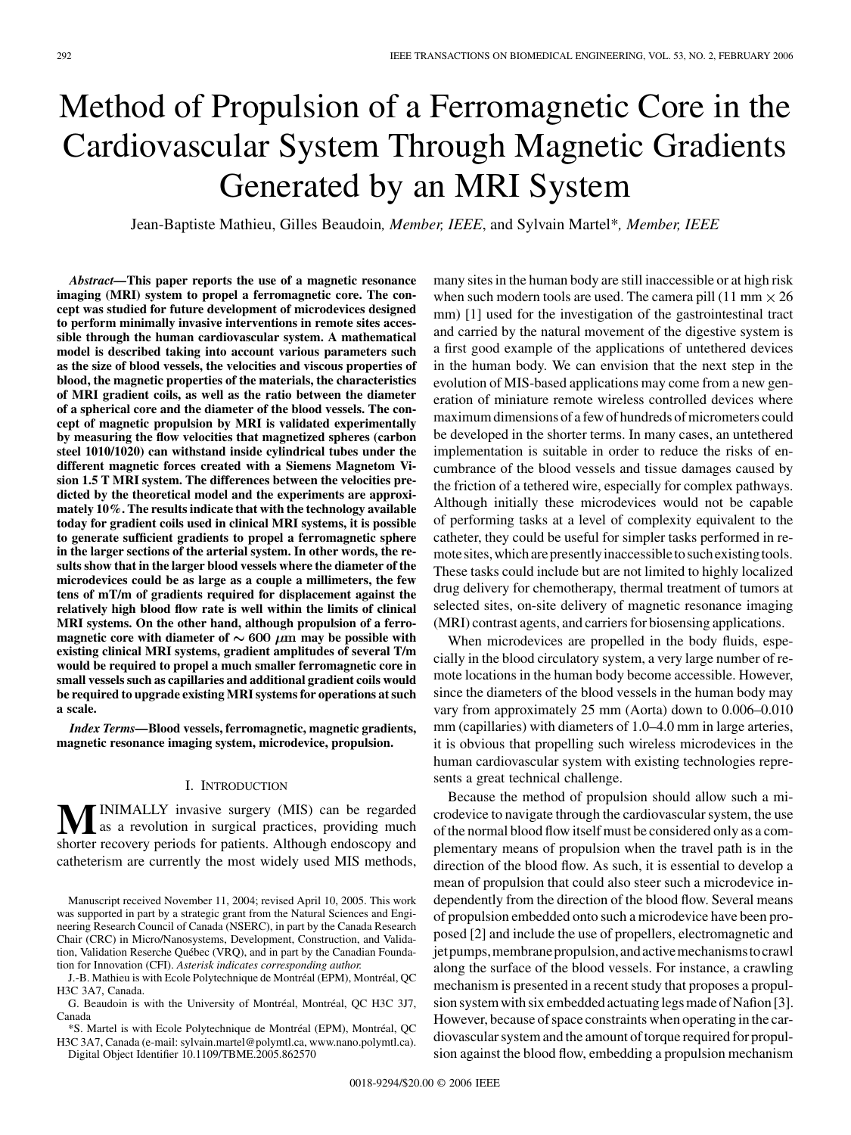# Method of Propulsion of a Ferromagnetic Core in the Cardiovascular System Through Magnetic Gradients Generated by an MRI System

Jean-Baptiste Mathieu, Gilles Beaudoin*, Member, IEEE*, and Sylvain Martel\**, Member, IEEE*

*Abstract—***This paper reports the use of a magnetic resonance imaging (MRI) system to propel a ferromagnetic core. The concept was studied for future development of microdevices designed to perform minimally invasive interventions in remote sites accessible through the human cardiovascular system. A mathematical model is described taking into account various parameters such as the size of blood vessels, the velocities and viscous properties of blood, the magnetic properties of the materials, the characteristics of MRI gradient coils, as well as the ratio between the diameter of a spherical core and the diameter of the blood vessels. The concept of magnetic propulsion by MRI is validated experimentally by measuring the flow velocities that magnetized spheres (carbon steel 1010/1020) can withstand inside cylindrical tubes under the different magnetic forces created with a Siemens Magnetom Vision 1.5 T MRI system. The differences between the velocities predicted by the theoretical model and the experiments are approximately 10%. The results indicate that with the technology available today for gradient coils used in clinical MRI systems, it is possible to generate sufficient gradients to propel a ferromagnetic sphere in the larger sections of the arterial system. In other words, the results show that in the larger blood vessels where the diameter of the microdevices could be as large as a couple a millimeters, the few tens of mT/m of gradients required for displacement against the relatively high blood flow rate is well within the limits of clinical MRI systems. On the other hand, although propulsion of a ferromagnetic core with diameter of**  $\sim 600 \ \mu \text{m}$  may be possible with **existing clinical MRI systems, gradient amplitudes of several T/m would be required to propel a much smaller ferromagnetic core in small vessels such as capillaries and additional gradient coils would be required to upgrade existing MRI systems for operations at such a scale.**

*Index Terms—***Blood vessels, ferromagnetic, magnetic gradients, magnetic resonance imaging system, microdevice, propulsion.**

#### I. INTRODUCTION

**M**INIMALLY invasive surgery (MIS) can be regarded as a revolution in surgical practices, providing much shorter recovery periods for patients. Although endoscopy and catheterism are currently the most widely used MIS methods,

Manuscript received November 11, 2004; revised April 10, 2005. This work was supported in part by a strategic grant from the Natural Sciences and Engineering Research Council of Canada (NSERC), in part by the Canada Research Chair (CRC) in Micro/Nanosystems, Development, Construction, and Validation, Validation Reserche Québec (VRQ), and in part by the Canadian Foundation for Innovation (CFI). *Asterisk indicates corresponding author.*

J.-B. Mathieu is with Ecole Polytechnique de Montréal (EPM), Montréal, QC H3C 3A7, Canada.

G. Beaudoin is with the University of Montréal, Montréal, QC H3C 3J7, Canada

\*S. Martel is with Ecole Polytechnique de Montréal (EPM), Montréal, QC H3C 3A7, Canada (e-mail: sylvain.martel@polymtl.ca, www.nano.polymtl.ca).

Digital Object Identifier 10.1109/TBME.2005.862570

many sites in the human body are still inaccessible or at high risk when such modern tools are used. The camera pill  $(11 \text{ mm} \times 26$ mm) [[1\]](#page-6-0) used for the investigation of the gastrointestinal tract and carried by the natural movement of the digestive system is a first good example of the applications of untethered devices in the human body. We can envision that the next step in the evolution of MIS-based applications may come from a new generation of miniature remote wireless controlled devices where maximum dimensions of a few of hundreds of micrometers could be developed in the shorter terms. In many cases, an untethered implementation is suitable in order to reduce the risks of encumbrance of the blood vessels and tissue damages caused by the friction of a tethered wire, especially for complex pathways. Although initially these microdevices would not be capable of performing tasks at a level of complexity equivalent to the catheter, they could be useful for simpler tasks performed in remote sites, which are presently inaccessible to such existing tools. These tasks could include but are not limited to highly localized drug delivery for chemotherapy, thermal treatment of tumors at selected sites, on-site delivery of magnetic resonance imaging (MRI) contrast agents, and carriers for biosensing applications.

When microdevices are propelled in the body fluids, especially in the blood circulatory system, a very large number of remote locations in the human body become accessible. However, since the diameters of the blood vessels in the human body may vary from approximately 25 mm (Aorta) down to 0.006–0.010 mm (capillaries) with diameters of 1.0–4.0 mm in large arteries, it is obvious that propelling such wireless microdevices in the human cardiovascular system with existing technologies represents a great technical challenge.

Because the method of propulsion should allow such a microdevice to navigate through the cardiovascular system, the use of the normal blood flow itself must be considered only as a complementary means of propulsion when the travel path is in the direction of the blood flow. As such, it is essential to develop a mean of propulsion that could also steer such a microdevice independently from the direction of the blood flow. Several means of propulsion embedded onto such a microdevice have been proposed [\[2](#page-6-0)] and include the use of propellers, electromagnetic and jet pumps, membrane propulsion, and active mechanisms to crawl along the surface of the blood vessels. For instance, a crawling mechanism is presented in a recent study that proposes a propulsion system with six embedded actuating legs made of Nafion [\[3](#page-6-0)]. However, because of space constraints when operating in the cardiovascular system and the amount of torque required for propulsion against the blood flow, embedding a propulsion mechanism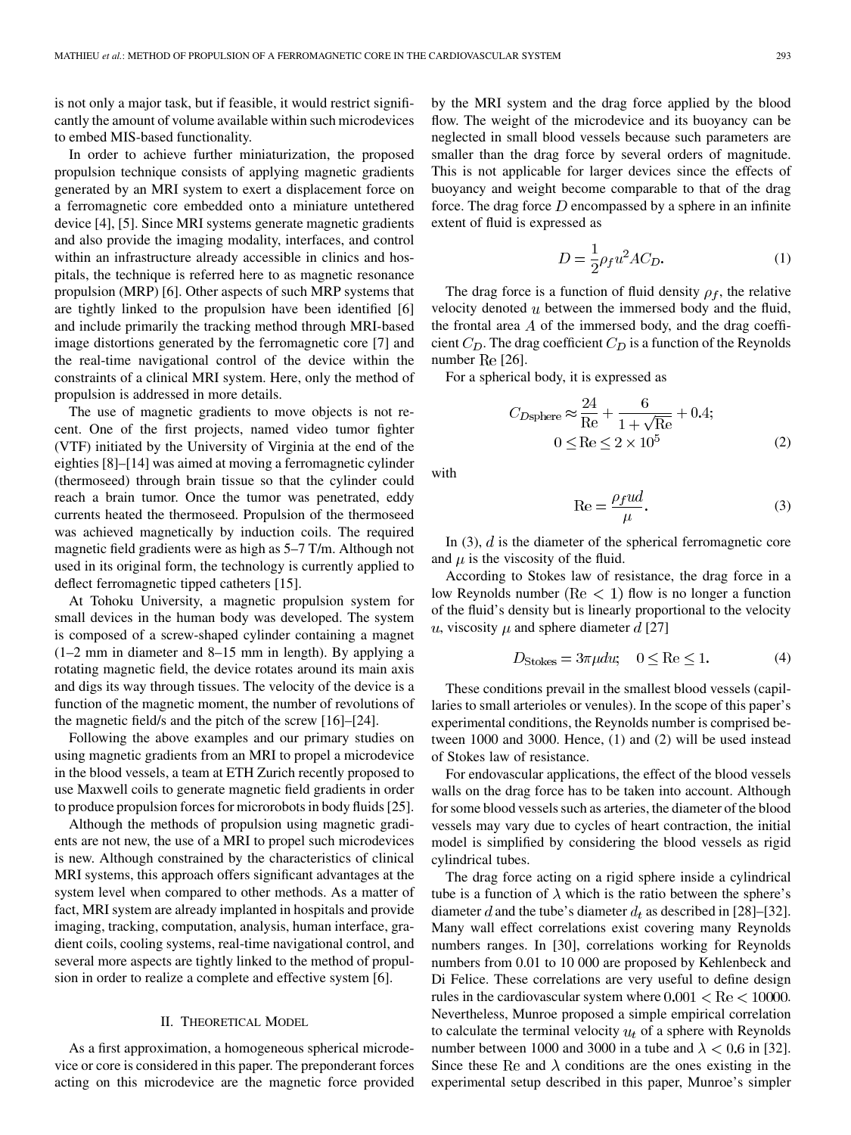is not only a major task, but if feasible, it would restrict significantly the amount of volume available within such microdevices to embed MIS-based functionality.

In order to achieve further miniaturization, the proposed propulsion technique consists of applying magnetic gradients generated by an MRI system to exert a displacement force on a ferromagnetic core embedded onto a miniature untethered device [\[4](#page-6-0)], [[5\]](#page-6-0). Since MRI systems generate magnetic gradients and also provide the imaging modality, interfaces, and control within an infrastructure already accessible in clinics and hospitals, the technique is referred here to as magnetic resonance propulsion (MRP) [\[6](#page-6-0)]. Other aspects of such MRP systems that are tightly linked to the propulsion have been identified [[6\]](#page-6-0) and include primarily the tracking method through MRI-based image distortions generated by the ferromagnetic core [\[7](#page-6-0)] and the real-time navigational control of the device within the constraints of a clinical MRI system. Here, only the method of propulsion is addressed in more details.

The use of magnetic gradients to move objects is not recent. One of the first projects, named video tumor fighter (VTF) initiated by the University of Virginia at the end of the eighties [[8\]](#page-6-0)–[\[14](#page-6-0)] was aimed at moving a ferromagnetic cylinder (thermoseed) through brain tissue so that the cylinder could reach a brain tumor. Once the tumor was penetrated, eddy currents heated the thermoseed. Propulsion of the thermoseed was achieved magnetically by induction coils. The required magnetic field gradients were as high as 5–7 T/m. Although not used in its original form, the technology is currently applied to deflect ferromagnetic tipped catheters [[15\]](#page-6-0).

At Tohoku University, a magnetic propulsion system for small devices in the human body was developed. The system is composed of a screw-shaped cylinder containing a magnet (1–2 mm in diameter and 8–15 mm in length). By applying a rotating magnetic field, the device rotates around its main axis and digs its way through tissues. The velocity of the device is a function of the magnetic moment, the number of revolutions of the magnetic field/s and the pitch of the screw [\[16](#page-6-0)]–[[24\]](#page-6-0).

Following the above examples and our primary studies on using magnetic gradients from an MRI to propel a microdevice in the blood vessels, a team at ETH Zurich recently proposed to use Maxwell coils to generate magnetic field gradients in order to produce propulsion forces for microrobots in body fluids [\[25](#page-6-0)].

Although the methods of propulsion using magnetic gradients are not new, the use of a MRI to propel such microdevices is new. Although constrained by the characteristics of clinical MRI systems, this approach offers significant advantages at the system level when compared to other methods. As a matter of fact, MRI system are already implanted in hospitals and provide imaging, tracking, computation, analysis, human interface, gradient coils, cooling systems, real-time navigational control, and several more aspects are tightly linked to the method of propulsion in order to realize a complete and effective system [[6\]](#page-6-0).

#### II. THEORETICAL MODEL

As a first approximation, a homogeneous spherical microdevice or core is considered in this paper. The preponderant forces acting on this microdevice are the magnetic force provided by the MRI system and the drag force applied by the blood flow. The weight of the microdevice and its buoyancy can be neglected in small blood vessels because such parameters are smaller than the drag force by several orders of magnitude. This is not applicable for larger devices since the effects of buoyancy and weight become comparable to that of the drag force. The drag force  $D$  encompassed by a sphere in an infinite extent of fluid is expressed as

$$
D = \frac{1}{2}\rho_f u^2 A C_D.
$$
 (1)

The drag force is a function of fluid density  $\rho_f$ , the relative velocity denoted  $u$  between the immersed body and the fluid, the frontal area  $A$  of the immersed body, and the drag coefficient  $C_D$ . The drag coefficient  $C_D$  is a function of the Reynolds number Re [[26\]](#page-6-0).

For a spherical body, it is expressed as

$$
C_{D\text{sphere}} \approx \frac{24}{\text{Re}} + \frac{6}{1 + \sqrt{\text{Re}}} + 0.4; 0 \le \text{Re} \le 2 \times 10^5
$$
 (2)

with

$$
\text{Re} = \frac{\rho_f ud}{\mu}.\tag{3}
$$

In  $(3)$ , d is the diameter of the spherical ferromagnetic core and  $\mu$  is the viscosity of the fluid.

According to Stokes law of resistance, the drag force in a low Reynolds number ( $\text{Re} < 1$ ) flow is no longer a function of the fluid's density but is linearly proportional to the velocity u, viscosity  $\mu$  and sphere diameter d [[27\]](#page-6-0)

$$
D_{\text{Stokes}} = 3\pi \mu du; \quad 0 \le \text{Re} \le 1. \tag{4}
$$

These conditions prevail in the smallest blood vessels (capillaries to small arterioles or venules). In the scope of this paper's experimental conditions, the Reynolds number is comprised between 1000 and 3000. Hence, (1) and (2) will be used instead of Stokes law of resistance.

For endovascular applications, the effect of the blood vessels walls on the drag force has to be taken into account. Although for some blood vessels such as arteries, the diameter of the blood vessels may vary due to cycles of heart contraction, the initial model is simplified by considering the blood vessels as rigid cylindrical tubes.

The drag force acting on a rigid sphere inside a cylindrical tube is a function of  $\lambda$  which is the ratio between the sphere's diameter d and the tube's diameter  $d_t$  as described in [[28\]](#page-6-0)–[\[32](#page-6-0)]. Many wall effect correlations exist covering many Reynolds numbers ranges. In [\[30](#page-6-0)], correlations working for Reynolds numbers from 0.01 to 10 000 are proposed by Kehlenbeck and Di Felice. These correlations are very useful to define design rules in the cardiovascular system where  $0.001 < \text{Re} < 10000$ . Nevertheless, Munroe proposed a simple empirical correlation to calculate the terminal velocity  $u_t$  of a sphere with Reynolds number between 1000 and 3000 in a tube and  $\lambda < 0.6$  in [\[32](#page-6-0)]. Since these Re and  $\lambda$  conditions are the ones existing in the experimental setup described in this paper, Munroe's simpler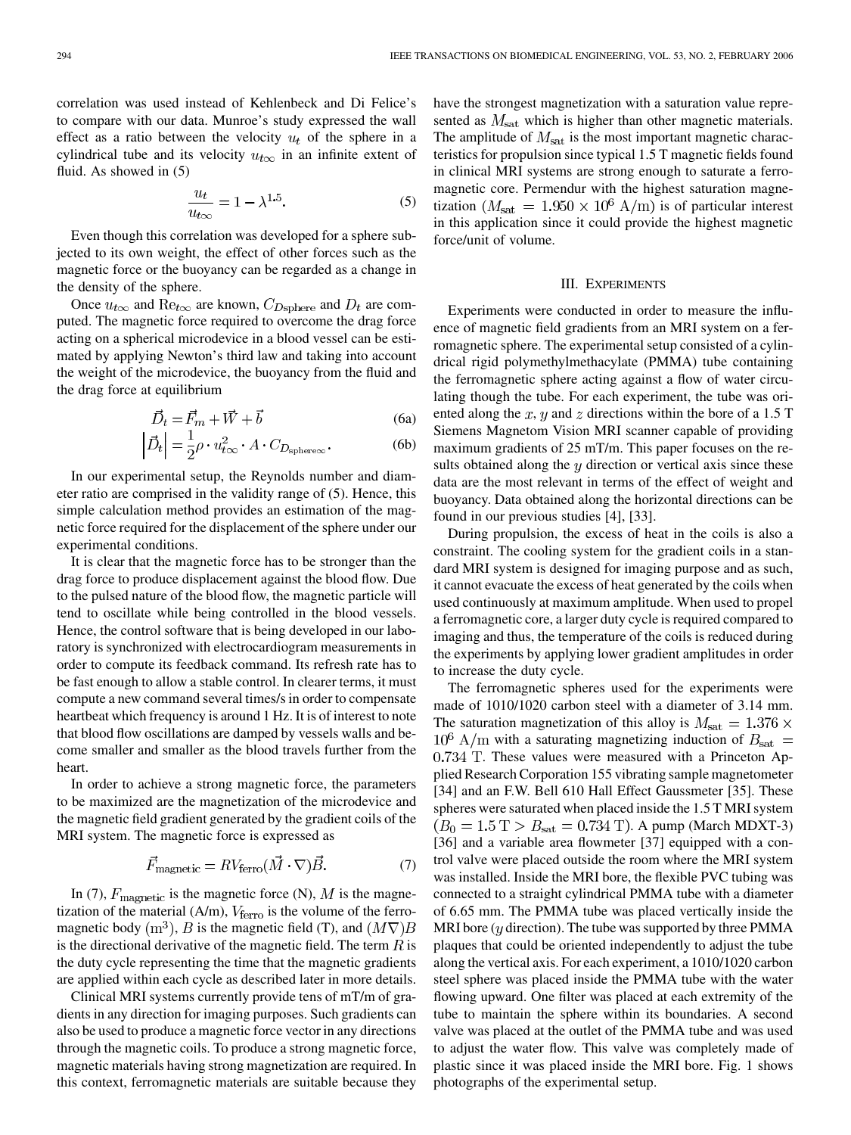correlation was used instead of Kehlenbeck and Di Felice's to compare with our data. Munroe's study expressed the wall effect as a ratio between the velocity  $u_t$  of the sphere in a cylindrical tube and its velocity  $u_{t\infty}$  in an infinite extent of fluid. As showed in (5)

$$
\frac{u_t}{u_{t\infty}} = 1 - \lambda^{1.5}.\tag{5}
$$

Even though this correlation was developed for a sphere subjected to its own weight, the effect of other forces such as the magnetic force or the buoyancy can be regarded as a change in the density of the sphere.

Once  $u_{t\infty}$  and  $\text{Re}_{t\infty}$  are known,  $C_{D\text{sphere}}$  and  $D_t$  are computed. The magnetic force required to overcome the drag force acting on a spherical microdevice in a blood vessel can be estimated by applying Newton's third law and taking into account the weight of the microdevice, the buoyancy from the fluid and the drag force at equilibrium

$$
\vec{D}_t = \vec{F}_m + \vec{W} + \vec{b} \tag{6a}
$$

$$
\left| \vec{D}_t \right| = \frac{1}{2} \rho \cdot u_{t\infty}^2 \cdot A \cdot C_{D_{\text{sphere}}}. \tag{6b}
$$

In our experimental setup, the Reynolds number and diameter ratio are comprised in the validity range of (5). Hence, this simple calculation method provides an estimation of the magnetic force required for the displacement of the sphere under our experimental conditions.

It is clear that the magnetic force has to be stronger than the drag force to produce displacement against the blood flow. Due to the pulsed nature of the blood flow, the magnetic particle will tend to oscillate while being controlled in the blood vessels. Hence, the control software that is being developed in our laboratory is synchronized with electrocardiogram measurements in order to compute its feedback command. Its refresh rate has to be fast enough to allow a stable control. In clearer terms, it must compute a new command several times/s in order to compensate heartbeat which frequency is around 1 Hz. It is of interest to note that blood flow oscillations are damped by vessels walls and become smaller and smaller as the blood travels further from the heart.

In order to achieve a strong magnetic force, the parameters to be maximized are the magnetization of the microdevice and the magnetic field gradient generated by the gradient coils of the MRI system. The magnetic force is expressed as

$$
\vec{F}_{\text{magnetic}} = RV_{\text{ferro}} (\vec{M} \cdot \nabla) \vec{B}.
$$
 (7)

In (7),  $F_{\text{magnetic}}$  is the magnetic force (N), M is the magnetization of the material  $(A/m)$ ,  $V_{\text{ferro}}$  is the volume of the ferromagnetic body  $(m^3)$ , B is the magnetic field (T), and  $(M\nabla)B$ is the directional derivative of the magnetic field. The term  $R$  is the duty cycle representing the time that the magnetic gradients are applied within each cycle as described later in more details.

Clinical MRI systems currently provide tens of mT/m of gradients in any direction for imaging purposes. Such gradients can also be used to produce a magnetic force vector in any directions through the magnetic coils. To produce a strong magnetic force, magnetic materials having strong magnetization are required. In this context, ferromagnetic materials are suitable because they

have the strongest magnetization with a saturation value represented as  $M_{\text{sat}}$  which is higher than other magnetic materials. The amplitude of  $M_{\text{sat}}$  is the most important magnetic characteristics for propulsion since typical 1.5 T magnetic fields found in clinical MRI systems are strong enough to saturate a ferromagnetic core. Permendur with the highest saturation magnetization ( $M_{\text{sat}} = 1.950 \times 10^6$  A/m) is of particular interest in this application since it could provide the highest magnetic force/unit of volume.

# III. EXPERIMENTS

Experiments were conducted in order to measure the influence of magnetic field gradients from an MRI system on a ferromagnetic sphere. The experimental setup consisted of a cylindrical rigid polymethylmethacylate (PMMA) tube containing the ferromagnetic sphere acting against a flow of water circulating though the tube. For each experiment, the tube was oriented along the  $x$ ,  $y$  and  $z$  directions within the bore of a 1.5 T Siemens Magnetom Vision MRI scanner capable of providing maximum gradients of 25 mT/m. This paper focuses on the results obtained along the  $y$  direction or vertical axis since these data are the most relevant in terms of the effect of weight and buoyancy. Data obtained along the horizontal directions can be found in our previous studies [[4\]](#page-6-0), [\[33](#page-6-0)].

During propulsion, the excess of heat in the coils is also a constraint. The cooling system for the gradient coils in a standard MRI system is designed for imaging purpose and as such, it cannot evacuate the excess of heat generated by the coils when used continuously at maximum amplitude. When used to propel a ferromagnetic core, a larger duty cycle is required compared to imaging and thus, the temperature of the coils is reduced during the experiments by applying lower gradient amplitudes in order to increase the duty cycle.

The ferromagnetic spheres used for the experiments were made of 1010/1020 carbon steel with a diameter of 3.14 mm. The saturation magnetization of this alloy is  $M_{\rm sat} = 1.376 \times$  $10^6$  A/m with a saturating magnetizing induction of  $B_{\text{sat}} =$ 0.734 T. These values were measured with a Princeton Applied Research Corporation 155 vibrating sample magnetometer [[34\]](#page-6-0) and an F.W. Bell 610 Hall Effect Gaussmeter [\[35](#page-6-0)]. These spheres were saturated when placed inside the 1.5 T MRI system  $(B_0 = 1.5 \text{ T} > B_{\text{sat}} = 0.734 \text{ T})$ . A pump (March MDXT-3) [[36\]](#page-6-0) and a variable area flowmeter [\[37](#page-6-0)] equipped with a control valve were placed outside the room where the MRI system was installed. Inside the MRI bore, the flexible PVC tubing was connected to a straight cylindrical PMMA tube with a diameter of 6.65 mm. The PMMA tube was placed vertically inside the MRI bore ( $y$  direction). The tube was supported by three PMMA plaques that could be oriented independently to adjust the tube along the vertical axis. For each experiment, a 1010/1020 carbon steel sphere was placed inside the PMMA tube with the water flowing upward. One filter was placed at each extremity of the tube to maintain the sphere within its boundaries. A second valve was placed at the outlet of the PMMA tube and was used to adjust the water flow. This valve was completely made of plastic since it was placed inside the MRI bore. Fig. 1 shows photographs of the experimental setup.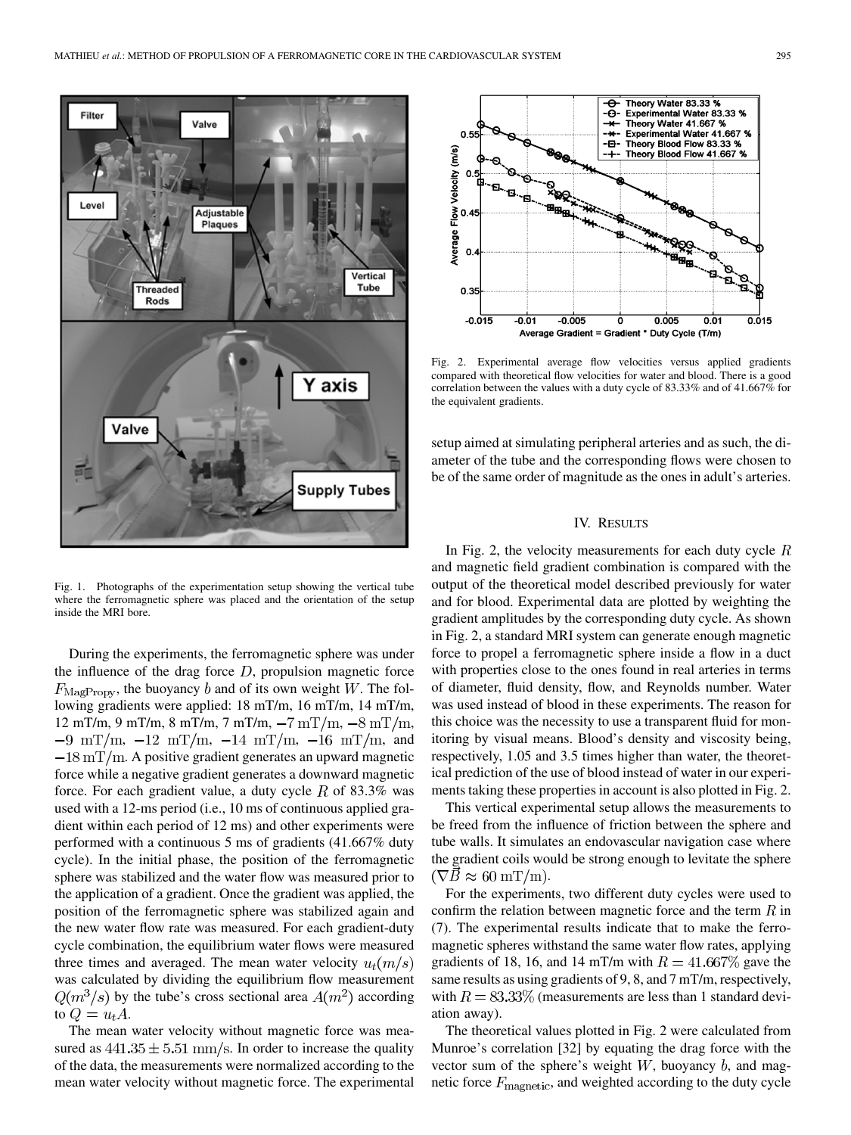

Fig. 1. Photographs of the experimentation setup showing the vertical tube where the ferromagnetic sphere was placed and the orientation of the setup inside the MRI bore.

During the experiments, the ferromagnetic sphere was under the influence of the drag force  $D$ , propulsion magnetic force  $F_{\text{MaeProov}}$ , the buoyancy b and of its own weight W. The following gradients were applied: 18 mT/m, 16 mT/m, 14 mT/m, 12 mT/m, 9 mT/m, 8 mT/m, 7 mT/m,  $-7$  mT/m,  $-8$  mT/m,  $-9$  mT/m,  $-12$  mT/m,  $-14$  mT/m,  $-16$  mT/m, and  $-18$  mT/m. A positive gradient generates an upward magnetic force while a negative gradient generates a downward magnetic force. For each gradient value, a duty cycle  $R$  of 83.3% was used with a 12-ms period (i.e., 10 ms of continuous applied gradient within each period of 12 ms) and other experiments were performed with a continuous 5 ms of gradients (41.667% duty cycle). In the initial phase, the position of the ferromagnetic sphere was stabilized and the water flow was measured prior to the application of a gradient. Once the gradient was applied, the position of the ferromagnetic sphere was stabilized again and the new water flow rate was measured. For each gradient-duty cycle combination, the equilibrium water flows were measured three times and averaged. The mean water velocity  $u_t(m/s)$ was calculated by dividing the equilibrium flow measurement  $\mathcal{Q}(m^3/s)$  by the tube's cross sectional area  $\mathcal{A}(m^2)$  according to  $Q = u_t A$ .

The mean water velocity without magnetic force was measured as  $441.35 \pm 5.51$  mm/s. In order to increase the quality of the data, the measurements were normalized according to the mean water velocity without magnetic force. The experimental



Fig. 2. Experimental average flow velocities versus applied gradients compared with theoretical flow velocities for water and blood. There is a good correlation between the values with a duty cycle of 83.33% and of 41.667% for the equivalent gradients.

setup aimed at simulating peripheral arteries and as such, the diameter of the tube and the corresponding flows were chosen to be of the same order of magnitude as the ones in adult's arteries.

### IV. RESULTS

In Fig. 2, the velocity measurements for each duty cycle  $R$ and magnetic field gradient combination is compared with the output of the theoretical model described previously for water and for blood. Experimental data are plotted by weighting the gradient amplitudes by the corresponding duty cycle. As shown in Fig. 2, a standard MRI system can generate enough magnetic force to propel a ferromagnetic sphere inside a flow in a duct with properties close to the ones found in real arteries in terms of diameter, fluid density, flow, and Reynolds number. Water was used instead of blood in these experiments. The reason for this choice was the necessity to use a transparent fluid for monitoring by visual means. Blood's density and viscosity being, respectively, 1.05 and 3.5 times higher than water, the theoretical prediction of the use of blood instead of water in our experiments taking these properties in account is also plotted in Fig. 2.

This vertical experimental setup allows the measurements to be freed from the influence of friction between the sphere and tube walls. It simulates an endovascular navigation case where the gradient coils would be strong enough to levitate the sphere  $(\nabla B \approx 60 \text{ mT/m}).$ 

For the experiments, two different duty cycles were used to confirm the relation between magnetic force and the term  $R$  in (7). The experimental results indicate that to make the ferromagnetic spheres withstand the same water flow rates, applying gradients of 18, 16, and 14 mT/m with  $R = 41.667\%$  gave the same results as using gradients of 9, 8, and 7 mT/m, respectively, with  $R = 83.33\%$  (measurements are less than 1 standard deviation away).

The theoretical values plotted in Fig. 2 were calculated from Munroe's correlation [[32\]](#page-6-0) by equating the drag force with the vector sum of the sphere's weight  $W$ , buoyancy  $b$ , and magnetic force  $F_{\text{magnetic}}$ , and weighted according to the duty cycle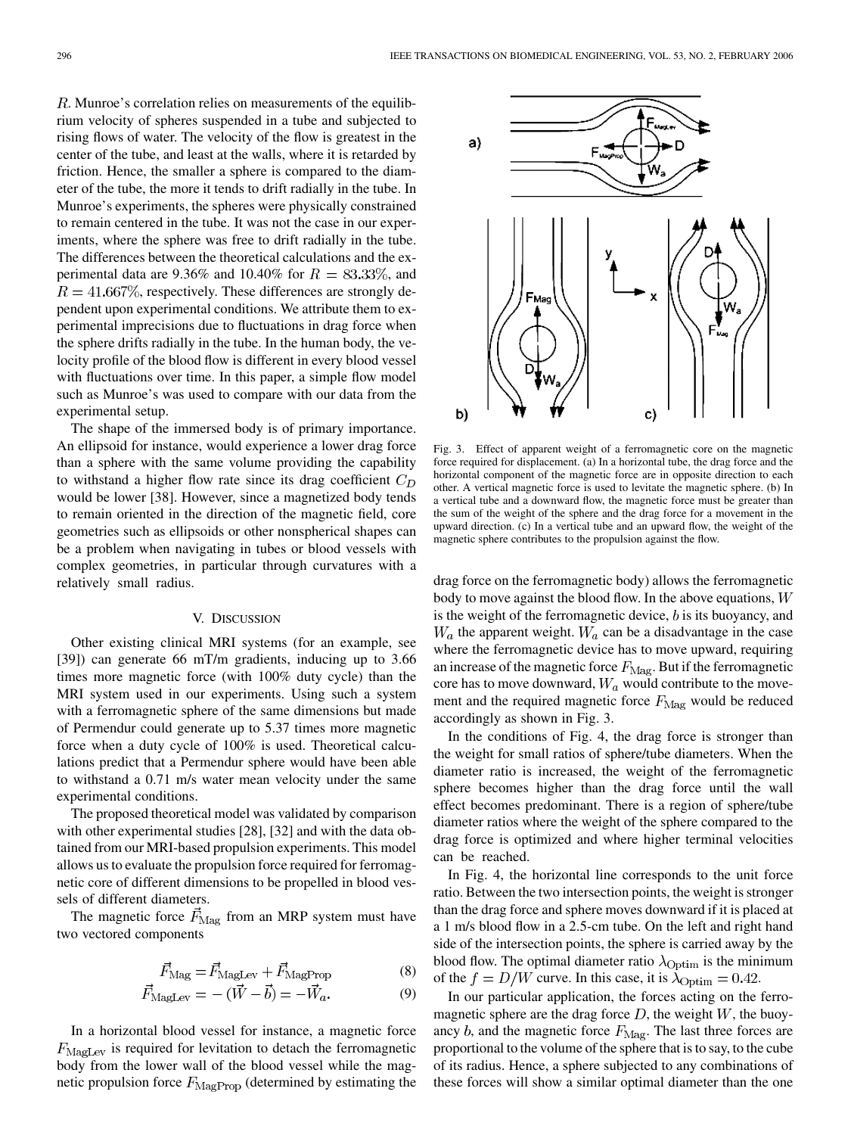. Munroe's correlation relies on measurements of the equilibrium velocity of spheres suspended in a tube and subjected to rising flows of water. The velocity of the flow is greatest in the center of the tube, and least at the walls, where it is retarded by friction. Hence, the smaller a sphere is compared to the diameter of the tube, the more it tends to drift radially in the tube. In Munroe's experiments, the spheres were physically constrained to remain centered in the tube. It was not the case in our experiments, where the sphere was free to drift radially in the tube. The differences between the theoretical calculations and the experimental data are 9.36% and 10.40% for  $R = 83.33\%$ , and  $R = 41.667\%$ , respectively. These differences are strongly dependent upon experimental conditions. We attribute them to experimental imprecisions due to fluctuations in drag force when the sphere drifts radially in the tube. In the human body, the velocity profile of the blood flow is different in every blood vessel with fluctuations over time. In this paper, a simple flow model such as Munroe's was used to compare with our data from the experimental setup.

The shape of the immersed body is of primary importance. An ellipsoid for instance, would experience a lower drag force than a sphere with the same volume providing the capability to withstand a higher flow rate since its drag coefficient  $C_D$ would be lower [\[38](#page-6-0)]. However, since a magnetized body tends to remain oriented in the direction of the magnetic field, core geometries such as ellipsoids or other nonspherical shapes can be a problem when navigating in tubes or blood vessels with complex geometries, in particular through curvatures with a relatively small radius.

## V. DISCUSSION

Other existing clinical MRI systems (for an example, see [[39\]](#page-6-0)) can generate 66 mT/m gradients, inducing up to 3.66 times more magnetic force (with 100% duty cycle) than the MRI system used in our experiments. Using such a system with a ferromagnetic sphere of the same dimensions but made of Permendur could generate up to 5.37 times more magnetic force when a duty cycle of 100% is used. Theoretical calculations predict that a Permendur sphere would have been able to withstand a 0.71 m/s water mean velocity under the same experimental conditions.

The proposed theoretical model was validated by comparison with other experimental studies [\[28](#page-6-0)], [\[32](#page-6-0)] and with the data obtained from our MRI-based propulsion experiments. This model allows us to evaluate the propulsion force required for ferromagnetic core of different dimensions to be propelled in blood vessels of different diameters.

The magnetic force  $\vec{F}_{\text{Mag}}$  from an MRP system must have two vectored components

$$
\vec{F}_{\text{Mag}} = \vec{F}_{\text{MagLev}} + \vec{F}_{\text{MagProp}} \tag{8}
$$

$$
\vec{F}_{\text{MagLev}} = -(\vec{W} - \vec{b}) = -\vec{W}_a. \tag{9}
$$

In a horizontal blood vessel for instance, a magnetic force  $F_{\text{Maglev}}$  is required for levitation to detach the ferromagnetic body from the lower wall of the blood vessel while the magnetic propulsion force  $F_{\text{MagProp}}$  (determined by estimating the



drag force on the ferromagnetic body) allows the ferromagnetic body to move against the blood flow. In the above equations,  $W$ is the weight of the ferromagnetic device,  $b$  is its buoyancy, and  $W_a$  the apparent weight.  $W_a$  can be a disadvantage in the case where the ferromagnetic device has to move upward, requiring an increase of the magnetic force  $F_{\text{Mag}}$ . But if the ferromagnetic core has to move downward,  $W_a$  would contribute to the movement and the required magnetic force  $F_{\text{Mag}}$  would be reduced accordingly as shown in Fig. 3.

In the conditions of Fig. 4, the drag force is stronger than the weight for small ratios of sphere/tube diameters. When the diameter ratio is increased, the weight of the ferromagnetic sphere becomes higher than the drag force until the wall effect becomes predominant. There is a region of sphere/tube diameter ratios where the weight of the sphere compared to the drag force is optimized and where higher terminal velocities can be reached.

In Fig. 4, the horizontal line corresponds to the unit force ratio. Between the two intersection points, the weight is stronger than the drag force and sphere moves downward if it is placed at a 1 m/s blood flow in a 2.5-cm tube. On the left and right hand side of the intersection points, the sphere is carried away by the blood flow. The optimal diameter ratio  $\lambda_{\text{Optim}}$  is the minimum of the  $f = D/W$  curve. In this case, it is  $\lambda_{\text{Optim}} = 0.42$ .

In our particular application, the forces acting on the ferromagnetic sphere are the drag force  $D$ , the weight  $W$ , the buoyancy b, and the magnetic force  $F_{\text{Mag}}$ . The last three forces are proportional to the volume of the sphere that is to say, to the cube of its radius. Hence, a sphere subjected to any combinations of these forces will show a similar optimal diameter than the one

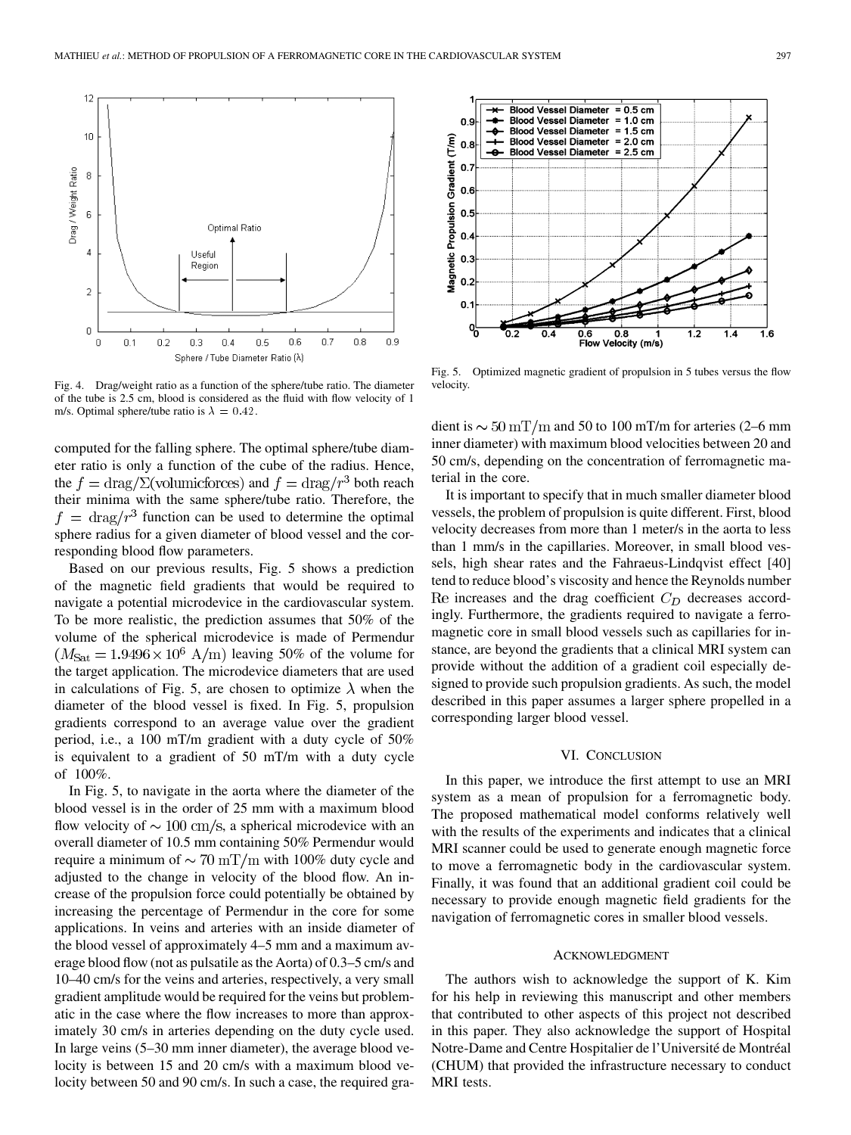

Fig. 4. Drag/weight ratio as a function of the sphere/tube ratio. The diameter of the tube is 2.5 cm, blood is considered as the fluid with flow velocity of 1 m/s. Optimal sphere/tube ratio is  $\lambda = 0.42$ .

computed for the falling sphere. The optimal sphere/tube diameter ratio is only a function of the cube of the radius. Hence, the  $f = \frac{drap}{\sum (volume force)}$  and  $f = \frac{drap}{r^3}$  both reach their minima with the same sphere/tube ratio. Therefore, the  $f = \frac{dr}{dt}$  function can be used to determine the optimal sphere radius for a given diameter of blood vessel and the corresponding blood flow parameters.

Based on our previous results, Fig. 5 shows a prediction of the magnetic field gradients that would be required to navigate a potential microdevice in the cardiovascular system. To be more realistic, the prediction assumes that 50% of the volume of the spherical microdevice is made of Permendur  $(M<sub>Sat</sub> = 1.9496 \times 10^6$  A/m) leaving 50% of the volume for the target application. The microdevice diameters that are used in calculations of Fig. 5, are chosen to optimize  $\lambda$  when the diameter of the blood vessel is fixed. In Fig. 5, propulsion gradients correspond to an average value over the gradient period, i.e., a 100 mT/m gradient with a duty cycle of 50% is equivalent to a gradient of 50 mT/m with a duty cycle of 100%.

In Fig. 5, to navigate in the aorta where the diameter of the blood vessel is in the order of 25 mm with a maximum blood flow velocity of  $\sim 100 \text{ cm/s}$ , a spherical microdevice with an overall diameter of 10.5 mm containing 50% Permendur would require a minimum of  $\sim 70$  mT/m with 100% duty cycle and adjusted to the change in velocity of the blood flow. An increase of the propulsion force could potentially be obtained by increasing the percentage of Permendur in the core for some applications. In veins and arteries with an inside diameter of the blood vessel of approximately 4–5 mm and a maximum average blood flow (not as pulsatile as the Aorta) of 0.3–5 cm/s and 10–40 cm/s for the veins and arteries, respectively, a very small gradient amplitude would be required for the veins but problematic in the case where the flow increases to more than approximately 30 cm/s in arteries depending on the duty cycle used. In large veins (5–30 mm inner diameter), the average blood velocity is between 15 and 20 cm/s with a maximum blood velocity between 50 and 90 cm/s. In such a case, the required gra-



Fig. 5. Optimized magnetic gradient of propulsion in 5 tubes versus the flow velocity.

dient is  $\sim 50 \,\mathrm{mT/m}$  and 50 to 100 mT/m for arteries (2–6 mm inner diameter) with maximum blood velocities between 20 and 50 cm/s, depending on the concentration of ferromagnetic material in the core.

It is important to specify that in much smaller diameter blood vessels, the problem of propulsion is quite different. First, blood velocity decreases from more than 1 meter/s in the aorta to less than 1 mm/s in the capillaries. Moreover, in small blood vessels, high shear rates and the Fahraeus-Lindqvist effect [[40\]](#page-6-0) tend to reduce blood's viscosity and hence the Reynolds number Re increases and the drag coefficient  $C<sub>D</sub>$  decreases accordingly. Furthermore, the gradients required to navigate a ferromagnetic core in small blood vessels such as capillaries for instance, are beyond the gradients that a clinical MRI system can provide without the addition of a gradient coil especially designed to provide such propulsion gradients. As such, the model described in this paper assumes a larger sphere propelled in a corresponding larger blood vessel.

## VI. CONCLUSION

In this paper, we introduce the first attempt to use an MRI system as a mean of propulsion for a ferromagnetic body. The proposed mathematical model conforms relatively well with the results of the experiments and indicates that a clinical MRI scanner could be used to generate enough magnetic force to move a ferromagnetic body in the cardiovascular system. Finally, it was found that an additional gradient coil could be necessary to provide enough magnetic field gradients for the navigation of ferromagnetic cores in smaller blood vessels.

### ACKNOWLEDGMENT

The authors wish to acknowledge the support of K. Kim for his help in reviewing this manuscript and other members that contributed to other aspects of this project not described in this paper. They also acknowledge the support of Hospital Notre-Dame and Centre Hospitalier de l'Université de Montréal (CHUM) that provided the infrastructure necessary to conduct MRI tests.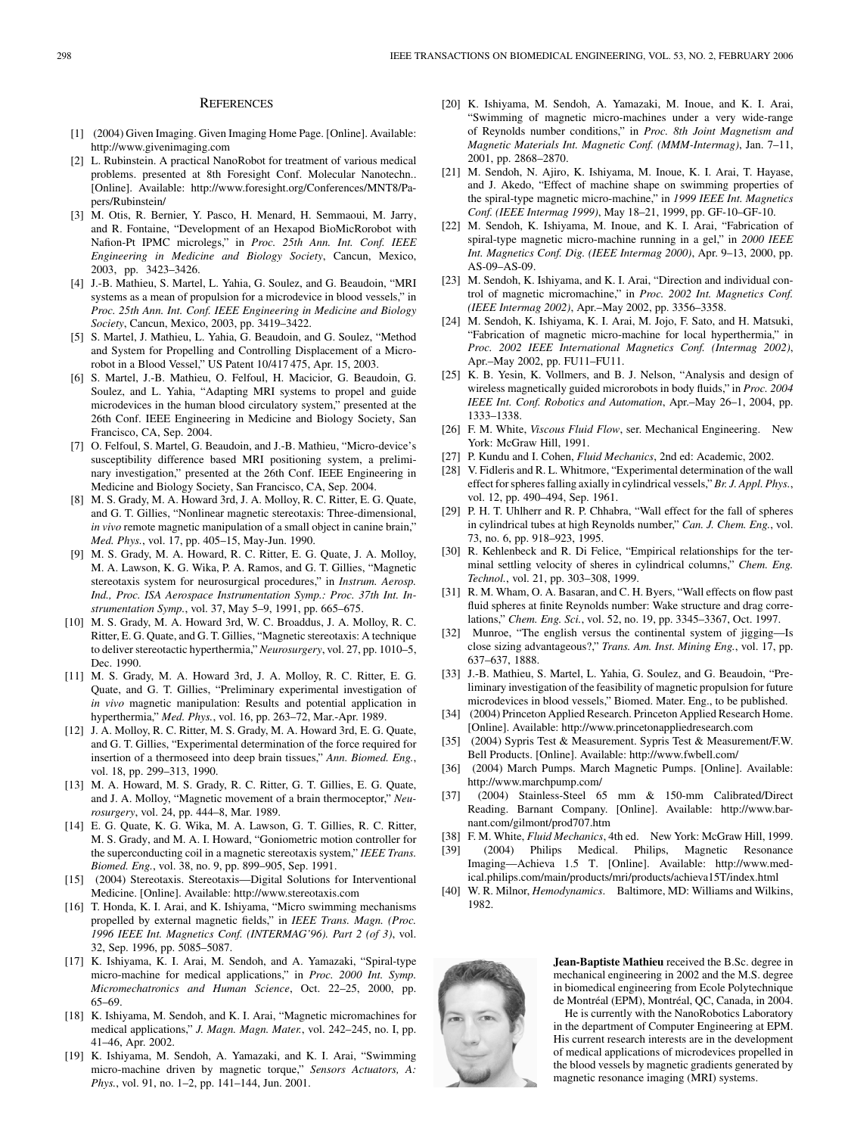### **REFERENCES**

- <span id="page-6-0"></span>[1] (2004) Given Imaging. Given Imaging Home Page. [Online]. Available: http://www.givenimaging.com
- [2] L. Rubinstein. A practical NanoRobot for treatment of various medical problems. presented at 8th Foresight Conf. Molecular Nanotechn.. [Online]. Available: http://www.foresight.org/Conferences/MNT8/Papers/Rubinstein/
- [3] M. Otis, R. Bernier, Y. Pasco, H. Menard, H. Semmaoui, M. Jarry, and R. Fontaine, "Development of an Hexapod BioMicRorobot with Nafion-Pt IPMC microlegs," in *Proc. 25th Ann. Int. Conf. IEEE Engineering in Medicine and Biology Society*, Cancun, Mexico, 2003, pp. 3423–3426.
- [4] J.-B. Mathieu, S. Martel, L. Yahia, G. Soulez, and G. Beaudoin, "MRI systems as a mean of propulsion for a microdevice in blood vessels," in *Proc. 25th Ann. Int. Conf. IEEE Engineering in Medicine and Biology Society*, Cancun, Mexico, 2003, pp. 3419–3422.
- [5] S. Martel, J. Mathieu, L. Yahia, G. Beaudoin, and G. Soulez, "Method and System for Propelling and Controlling Displacement of a Microrobot in a Blood Vessel," US Patent 10/417 475, Apr. 15, 2003.
- [6] S. Martel, J.-B. Mathieu, O. Felfoul, H. Macicior, G. Beaudoin, G. Soulez, and L. Yahia, "Adapting MRI systems to propel and guide microdevices in the human blood circulatory system," presented at the 26th Conf. IEEE Engineering in Medicine and Biology Society, San Francisco, CA, Sep. 2004.
- [7] O. Felfoul, S. Martel, G. Beaudoin, and J.-B. Mathieu, "Micro-device's susceptibility difference based MRI positioning system, a preliminary investigation," presented at the 26th Conf. IEEE Engineering in Medicine and Biology Society, San Francisco, CA, Sep. 2004.
- [8] M. S. Grady, M. A. Howard 3rd, J. A. Molloy, R. C. Ritter, E. G. Quate, and G. T. Gillies, "Nonlinear magnetic stereotaxis: Three-dimensional, *in vivo* remote magnetic manipulation of a small object in canine brain," *Med. Phys.*, vol. 17, pp. 405–15, May-Jun. 1990.
- [9] M. S. Grady, M. A. Howard, R. C. Ritter, E. G. Quate, J. A. Molloy, M. A. Lawson, K. G. Wika, P. A. Ramos, and G. T. Gillies, "Magnetic stereotaxis system for neurosurgical procedures," in *Instrum. Aerosp. Ind., Proc. ISA Aerospace Instrumentation Symp.: Proc. 37th Int. Instrumentation Symp.*, vol. 37, May 5–9, 1991, pp. 665–675.
- [10] M. S. Grady, M. A. Howard 3rd, W. C. Broaddus, J. A. Molloy, R. C. Ritter, E. G. Quate, and G. T. Gillies, "Magnetic stereotaxis: A technique to deliver stereotactic hyperthermia," *Neurosurgery*, vol. 27, pp. 1010–5, Dec. 1990.
- [11] M. S. Grady, M. A. Howard 3rd, J. A. Molloy, R. C. Ritter, E. G. Quate, and G. T. Gillies, "Preliminary experimental investigation of *in vivo* magnetic manipulation: Results and potential application in hyperthermia," *Med. Phys.*, vol. 16, pp. 263–72, Mar.-Apr. 1989.
- [12] J. A. Molloy, R. C. Ritter, M. S. Grady, M. A. Howard 3rd, E. G. Quate, and G. T. Gillies, "Experimental determination of the force required for insertion of a thermoseed into deep brain tissues," *Ann. Biomed. Eng.*, vol. 18, pp. 299–313, 1990.
- [13] M. A. Howard, M. S. Grady, R. C. Ritter, G. T. Gillies, E. G. Quate, and J. A. Molloy, "Magnetic movement of a brain thermoceptor," *Neurosurgery*, vol. 24, pp. 444–8, Mar. 1989.
- [14] E. G. Quate, K. G. Wika, M. A. Lawson, G. T. Gillies, R. C. Ritter, M. S. Grady, and M. A. I. Howard, "Goniometric motion controller for the superconducting coil in a magnetic stereotaxis system," *IEEE Trans. Biomed. Eng.*, vol. 38, no. 9, pp. 899–905, Sep. 1991.
- [15] (2004) Stereotaxis. Stereotaxis—Digital Solutions for Interventional Medicine. [Online]. Available: http://www.stereotaxis.com
- [16] T. Honda, K. I. Arai, and K. Ishiyama, "Micro swimming mechanisms propelled by external magnetic fields," in *IEEE Trans. Magn. (Proc. 1996 IEEE Int. Magnetics Conf. (INTERMAG'96). Part 2 (of 3)*, vol. 32, Sep. 1996, pp. 5085–5087.
- [17] K. Ishiyama, K. I. Arai, M. Sendoh, and A. Yamazaki, "Spiral-type micro-machine for medical applications," in *Proc. 2000 Int. Symp. Micromechatronics and Human Science*, Oct. 22–25, 2000, pp. 65–69.
- [18] K. Ishiyama, M. Sendoh, and K. I. Arai, "Magnetic micromachines for medical applications," *J. Magn. Magn. Mater.*, vol. 242–245, no. I, pp. 41–46, Apr. 2002.
- [19] K. Ishiyama, M. Sendoh, A. Yamazaki, and K. I. Arai, "Swimming micro-machine driven by magnetic torque," *Sensors Actuators, A: Phys.*, vol. 91, no. 1–2, pp. 141–144, Jun. 2001.
- [20] K. Ishiyama, M. Sendoh, A. Yamazaki, M. Inoue, and K. I. Arai, "Swimming of magnetic micro-machines under a very wide-range of Reynolds number conditions," in *Proc. 8th Joint Magnetism and Magnetic Materials Int. Magnetic Conf. (MMM-Intermag)*, Jan. 7–11, 2001, pp. 2868–2870.
- [21] M. Sendoh, N. Ajiro, K. Ishiyama, M. Inoue, K. I. Arai, T. Hayase, and J. Akedo, "Effect of machine shape on swimming properties of the spiral-type magnetic micro-machine," in *1999 IEEE Int. Magnetics Conf. (IEEE Intermag 1999)*, May 18–21, 1999, pp. GF-10–GF-10.
- [22] M. Sendoh, K. Ishiyama, M. Inoue, and K. I. Arai, "Fabrication of spiral-type magnetic micro-machine running in a gel," in *2000 IEEE Int. Magnetics Conf. Dig. (IEEE Intermag 2000)*, Apr. 9–13, 2000, pp. AS-09–AS-09.
- [23] M. Sendoh, K. Ishiyama, and K. I. Arai, "Direction and individual control of magnetic micromachine," in *Proc. 2002 Int. Magnetics Conf. (IEEE Intermag 2002)*, Apr.–May 2002, pp. 3356–3358.
- [24] M. Sendoh, K. Ishiyama, K. I. Arai, M. Jojo, F. Sato, and H. Matsuki, "Fabrication of magnetic micro-machine for local hyperthermia," in *Proc. 2002 IEEE International Magnetics Conf. (Intermag 2002)*, Apr.–May 2002, pp. FU11–FU11.
- [25] K. B. Yesin, K. Vollmers, and B. J. Nelson, "Analysis and design of wireless magnetically guided microrobots in body fluids," in *Proc. 2004 IEEE Int. Conf. Robotics and Automation*, Apr.–May 26–1, 2004, pp. 1333–1338.
- [26] F. M. White, *Viscous Fluid Flow*, ser. Mechanical Engineering. New York: McGraw Hill, 1991.
- [27] P. Kundu and I. Cohen, *Fluid Mechanics*, 2nd ed: Academic, 2002.
- [28] V. Fidleris and R. L. Whitmore, "Experimental determination of the wall effect for spheres falling axially in cylindrical vessels," *Br. J. Appl. Phys.*, vol. 12, pp. 490–494, Sep. 1961.
- [29] P. H. T. Uhlherr and R. P. Chhabra, "Wall effect for the fall of spheres in cylindrical tubes at high Reynolds number," *Can. J. Chem. Eng.*, vol. 73, no. 6, pp. 918–923, 1995.
- [30] R. Kehlenbeck and R. Di Felice, "Empirical relationships for the terminal settling velocity of sheres in cylindrical columns," *Chem. Eng. Technol.*, vol. 21, pp. 303–308, 1999.
- [31] R. M. Wham, O. A. Basaran, and C. H. Byers, "Wall effects on flow past fluid spheres at finite Reynolds number: Wake structure and drag correlations," *Chem. Eng. Sci.*, vol. 52, no. 19, pp. 3345–3367, Oct. 1997.
- [32] Munroe, "The english versus the continental system of jigging—Is close sizing advantageous?," *Trans. Am. Inst. Mining Eng.*, vol. 17, pp. 637–637, 1888.
- [33] J.-B. Mathieu, S. Martel, L. Yahia, G. Soulez, and G. Beaudoin, "Preliminary investigation of the feasibility of magnetic propulsion for future microdevices in blood vessels," Biomed. Mater. Eng., to be published.
- [34] (2004) Princeton Applied Research. Princeton Applied Research Home. [Online]. Available: http://www.princetonappliedresearch.com
- [35] (2004) Sypris Test & Measurement. Sypris Test & Measurement/F.W. Bell Products. [Online]. Available: http://www.fwbell.com/
- [36] (2004) March Pumps. March Magnetic Pumps. [Online]. Available: http://www.marchpump.com/
- [37] (2004) Stainless-Steel 65 mm & 150-mm Calibrated/Direct Reading. Barnant Company. [Online]. Available: http://www.barnant.com/gilmont/prod707.htm
- [38] F. M. White, *Fluid Mechanics*, 4th ed. New York: McGraw Hill, 1999.
- [39] (2004) Philips Medical. Philips, Magnetic Resonance Imaging—Achieva 1.5 T. [Online]. Available: http://www.medical.philips.com/main/products/mri/products/achieva15T/index.html
- [40] W. R. Milnor, *Hemodynamics*. Baltimore, MD: Williams and Wilkins, 1982.



**Jean-Baptiste Mathieu** received the B.Sc. degree in mechanical engineering in 2002 and the M.S. degree in biomedical engineering from Ecole Polytechnique de Montréal (EPM), Montréal, QC, Canada, in 2004.

He is currently with the NanoRobotics Laboratory in the department of Computer Engineering at EPM. His current research interests are in the development of medical applications of microdevices propelled in the blood vessels by magnetic gradients generated by magnetic resonance imaging (MRI) systems.